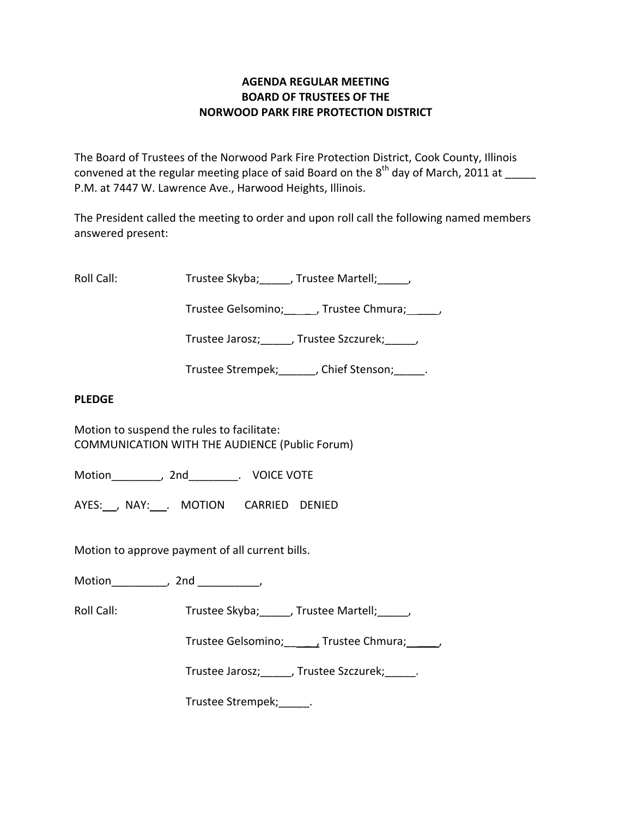## **AGENDA REGULAR MEETING BOARD OF TRUSTEES OF THE NORWOOD PARK FIRE PROTECTION DISTRICT**

The Board of Trustees of the Norwood Park Fire Protection District, Cook County, Illinois convened at the regular meeting place of said Board on the  $8^{\text{th}}$  day of March, 2011 at \_\_\_\_\_ P.M. at 7447 W. Lawrence Ave., Harwood Heights, Illinois.

The President called the meeting to order and upon roll call the following named members answered present:

Roll Call: Trustee Skyba; J. Trustee Martell; Trustee Martell;

Trustee Gelsomino; frustee Chmura;  $\qquad$ 

Trustee Jarosz; J. Trustee Szczurek; J.

Trustee Strempek; fight of Stenson; the Stenson;

## **PLEDGE**

Motion to suspend the rules to facilitate: COMMUNICATION WITH THE AUDIENCE (Public Forum)

Motion \_\_\_\_\_\_\_\_, 2nd \_\_\_\_\_\_\_\_. VOICE VOTE

AYES: NAY: MOTION CARRIED DENIED

Motion to approve payment of all current bills.

Motion\_\_\_\_\_\_\_\_\_, 2nd \_\_\_\_\_\_\_\_\_\_,

Roll Call: Trustee Skyba; J. Trustee Martell; Trustee Martell;

Trustee Gelsomino; \_\_\_\_\_, Trustee Chmura; \_\_\_\_\_\_,

Trustee Jarosz; Justee Szczurek; Latenberg

Trustee Strempek;\_\_\_\_\_.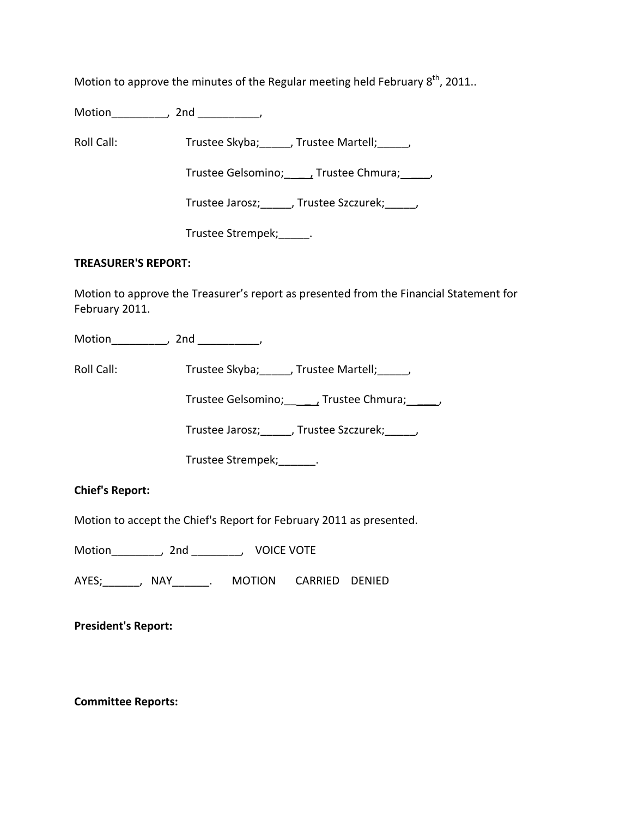Motion to approve the minutes of the Regular meeting held February  $8^{\text{th}}$ , 2011..

Motion\_\_\_\_\_\_\_\_\_, 2nd \_\_\_\_\_\_\_\_\_\_,

Roll Call: Trustee Skyba; Trustee Martell; Trustee Martell;

Trustee Gelsomino; \_\_\_\_\_\_, Trustee Chmura; \_\_\_\_\_,

Trustee Jarosz;\_\_\_\_\_, Trustee Szczurek;\_\_\_\_\_,

Trustee Strempek; [100]

## **TREASURER'S REPORT:**

Motion to approve the Treasurer's report as presented from the Financial Statement for February 2011.

Motion\_\_\_\_\_\_\_\_\_, 2nd \_\_\_\_\_\_\_\_\_,

Roll Call: Trustee Skyba; Trustee Martell; Trustee Martell;

Trustee Gelsomino; \_\_\_\_\_\_\_, Trustee Chmura; \_\_\_\_\_\_,

Trustee Jarosz;\_\_\_\_\_, Trustee Szczurek;\_\_\_\_\_,

Trustee Strempek;\_\_\_\_\_\_.

**Chief's Report:**

Motion to accept the Chief's Report for February 2011 as presented.

Motion\_\_\_\_\_\_\_\_, 2nd \_\_\_\_\_\_\_\_, VOICE VOTE

AYES;\_\_\_\_\_\_, NAY\_\_\_\_\_\_. MOTION CARRIED DENIED

**President's Report:**

**Committee Reports:**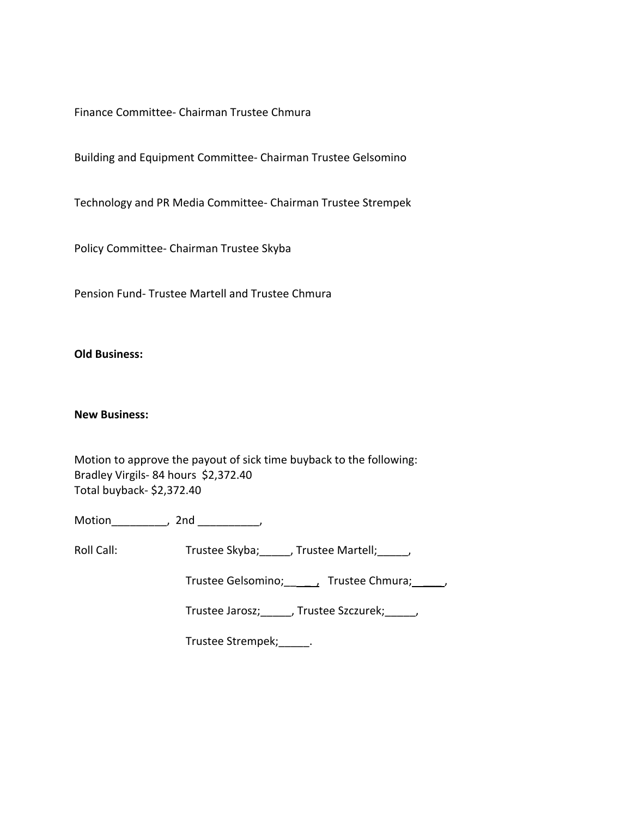Finance Committee‐ Chairman Trustee Chmura

Building and Equipment Committee‐ Chairman Trustee Gelsomino

Technology and PR Media Committee‐ Chairman Trustee Strempek

Policy Committee‐ Chairman Trustee Skyba

Pension Fund‐ Trustee Martell and Trustee Chmura

**Old Business:**

## **New Business:**

Motion to approve the payout of sick time buyback to the following: Bradley Virgils‐ 84 hours \$2,372.40 Total buyback‐ \$2,372.40

Motion\_\_\_\_\_\_\_\_\_, 2nd \_\_\_\_\_\_\_\_\_\_,

Roll Call: Trustee Skyba; \_\_\_\_, Trustee Martell; \_\_\_\_\_,

Trustee Gelsomino; \_\_\_\_\_\_, Trustee Chmura; \_\_\_\_\_,

Trustee Jarosz;\_\_\_\_\_, Trustee Szczurek;\_\_\_\_\_,

Trustee Strempek;\_\_\_\_\_.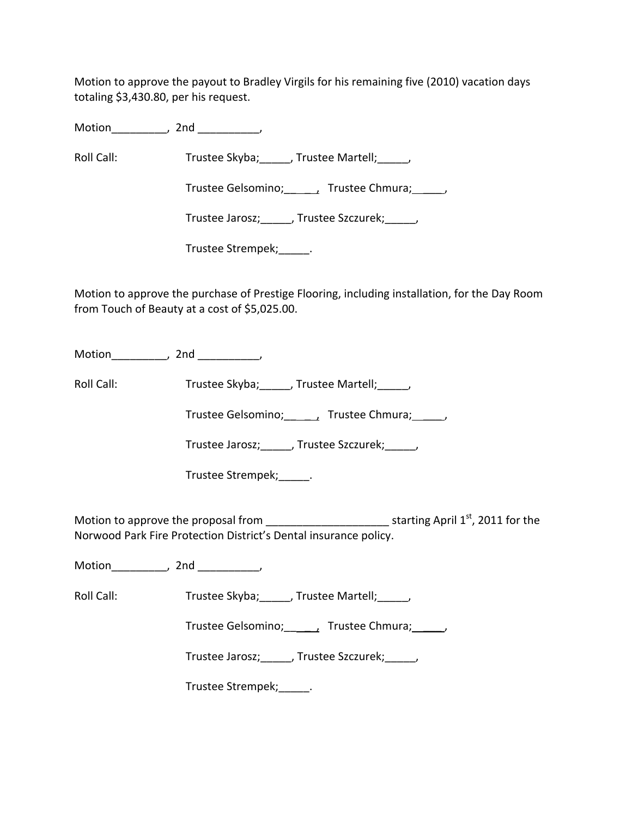Motion to approve the payout to Bradley Virgils for his remaining five (2010) vacation days totaling \$3,430.80, per his request.

Motion\_\_\_\_\_\_\_\_\_, 2nd \_\_\_\_\_\_\_\_\_\_,

Roll Call: Trustee Skyba; J. Trustee Martell; Trustee Martell;

Trustee Gelsomino; \_\_\_\_\_\_, Trustee Chmura; \_\_\_\_\_,

Trustee Jarosz;\_\_\_\_\_, Trustee Szczurek;\_\_\_\_\_,

Trustee Strempek;\_\_\_\_\_.

Motion to approve the purchase of Prestige Flooring, including installation, for the Day Room from Touch of Beauty at a cost of \$5,025.00.

Motion\_\_\_\_\_\_\_\_\_, 2nd \_\_\_\_\_\_\_\_\_\_,

Roll Call: Trustee Skyba; \_\_\_\_, Trustee Martell; \_\_\_\_,

Trustee Gelsomino; \_\_\_\_\_, Trustee Chmura; \_\_\_\_\_,

Trustee Jarosz; J. Trustee Szczurek; J.

Trustee Strempek;\_\_\_\_\_.

Motion to approve the proposal from \_\_\_\_\_\_\_\_\_\_\_\_\_\_\_\_\_\_\_\_\_\_\_\_\_\_\_\_\_\_\_starting April 1<sup>st</sup>, 2011 for the Norwood Park Fire Protection District's Dental insurance policy.

Motion\_\_\_\_\_\_\_\_\_, 2nd \_\_\_\_\_\_\_\_\_\_,

Roll Call: Trustee Skyba; Trustee Martell; Trustee Martell;

Trustee Gelsomino; \_\_\_\_\_, Trustee Chmura; \_\_\_\_\_,

Trustee Jarosz;\_\_\_\_\_, Trustee Szczurek;\_\_\_\_\_,

Trustee Strempek;\_\_\_\_\_.